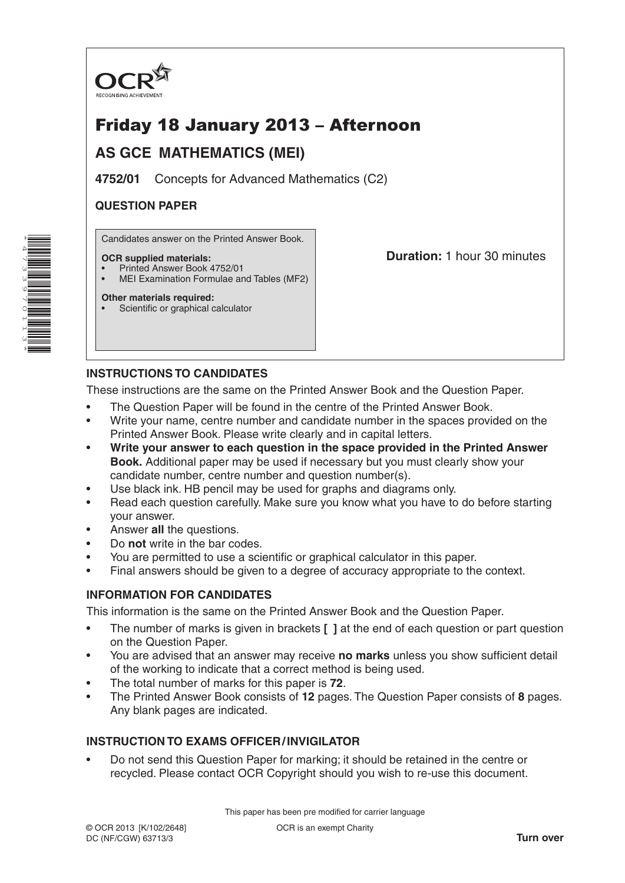

# Friday 18 January 2013 – Afternoon

## **AS GCE MATHEMATICS (MEI)**

**4752/01** Concepts for Advanced Mathematics (C2)

### **QUESTION PAPER**

Candidates answer on the Printed Answer Book.

#### **OCR supplied materials:**

- Printed Answer Book 4752/01
- MEI Examination Formulae and Tables (MF2)

**Duration:** 1 hour 30 minutes

#### **Other materials required:**

Scientific or graphical calculator

### **INSTRUCTIONS TO CANDIDATES**

These instructions are the same on the Printed Answer Book and the Question Paper.

- The Question Paper will be found in the centre of the Printed Answer Book.
- Write your name, centre number and candidate number in the spaces provided on the Printed Answer Book. Please write clearly and in capital letters.
- **Write your answer to each question in the space provided in the Printed Answer Book.** Additional paper may be used if necessary but you must clearly show your candidate number, centre number and question number(s).
- Use black ink. HB pencil may be used for graphs and diagrams only.
- Read each question carefully. Make sure you know what you have to do before starting your answer.
- Answer **all** the questions.
- Do **not** write in the bar codes.
- You are permitted to use a scientific or graphical calculator in this paper.
- Final answers should be given to a degree of accuracy appropriate to the context.

### **INFORMATION FOR CANDIDATES**

This information is the same on the Printed Answer Book and the Question Paper.

- The number of marks is given in brackets **[ ]** at the end of each question or part question on the Question Paper.
- You are advised that an answer may receive **no marks** unless you show sufficient detail of the working to indicate that a correct method is being used.
- The total number of marks for this paper is **72**.
- The Printed Answer Book consists of **12** pages. The Question Paper consists of **8** pages. Any blank pages are indicated.

### **INSTRUCTION TO EXAMS OFFICER/INVIGILATOR**

• Do not send this Question Paper for marking; it should be retained in the centre or recycled. Please contact OCR Copyright should you wish to re-use this document.



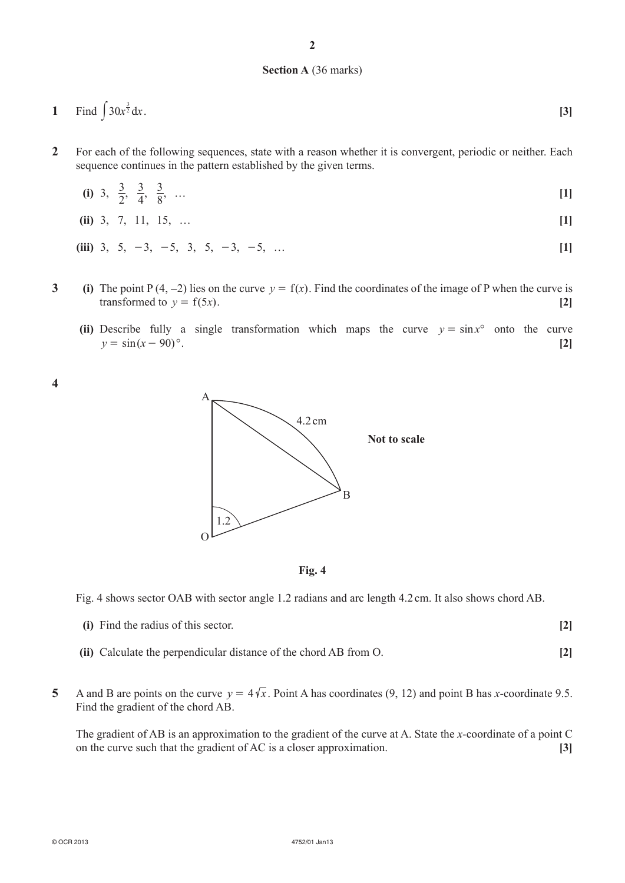#### **Section A** (36 marks)

- **1** Find  $\int 30x^{\frac{3}{2}} dx$  $\int 30x^{\frac{3}{2}} dx$ . [3]
- **2** For each of the following sequences, state with a reason whether it is convergent, periodic or neither. Each sequence continues in the pattern established by the given terms.
	- **(i)** 3,  $\frac{3}{2}$ ,  $\frac{3}{4}$ ,  $\frac{3}{8}$ 4 3 8  $\frac{3}{8}$ , ... [1]

(ii) 3, 7, 11, 15, ... 
$$
[1]
$$

(iii) 3, 5, -3, -5, 3, 5, -3, -5, ... 
$$
[1]
$$

- **3 (i)** The point P (4, -2) lies on the curve  $y = f(x)$ . Find the coordinates of the image of P when the curve is transformed to  $y = f(5x)$ . [2]
	- (ii) Describe fully a single transformation which maps the curve  $y = sin x^{\circ}$  onto the curve  $y = sin(x - 90)$ °. **[2]**

**4**





Fig. 4 shows sector OAB with sector angle 1.2 radians and arc length 4.2cm. It also shows chord AB.

- **(ii)** Calculate the perpendicular distance of the chord AB from O. **[2]**
- **5** A and B are points on the curve  $y = 4\sqrt{x}$ . Point A has coordinates (9, 12) and point B has *x*-coordinate 9.5. Find the gradient of the chord AB.

The gradient of AB is an approximation to the gradient of the curve at A. State the *x*-coordinate of a point C on the curve such that the gradient of AC is a closer approximation. **[3]**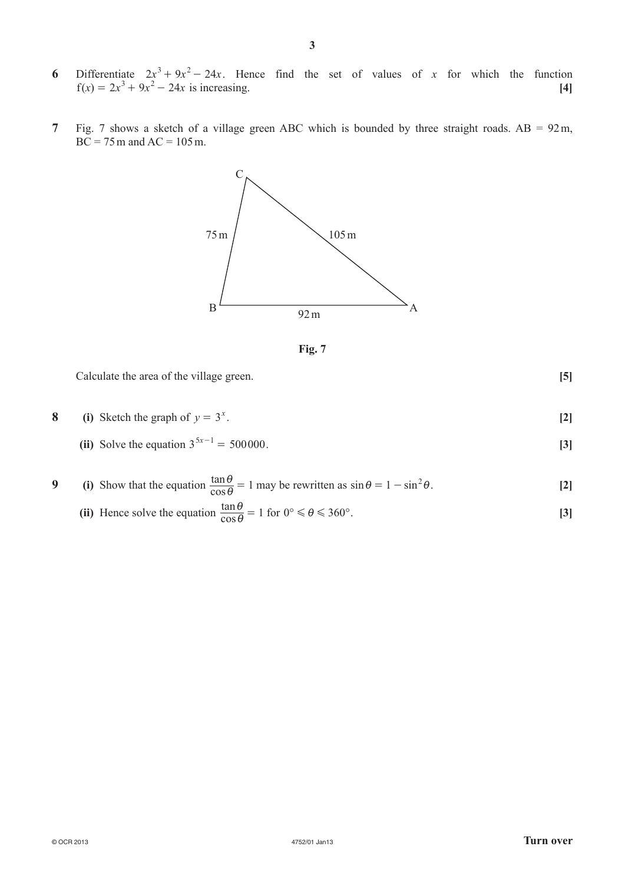- **6** Differentiate  $2x^3 + 9x^2 24x$ . Hence find the set of values of *x* for which the function  $f(x) = 2x^3 + 9x^2 - 24x$  is increasing. **[4]**
- **7** Fig. 7 shows a sketch of a village green ABC which is bounded by three straight roads. AB = 92m,  $BC = 75$  m and  $AC = 105$  m.





Calculate the area of the village green. **[5]**

- **8 (i)** Sketch the graph of  $y = 3^x$ . [2]
	- **(ii)** Solve the equation  $3^{5x-1} = 500000$ . [3]
- **9 (i)** Show that the equation  $\frac{\tan \theta}{\cos \theta} = 1$  may be rewritten as  $\sin \theta = 1 \sin^2 \theta$ . [2]
	- (ii) Hence solve the equation  $\frac{\tan \theta}{\cos \theta} = 1$  for  $0^{\circ} \le \theta \le 360^{\circ}$ . [3]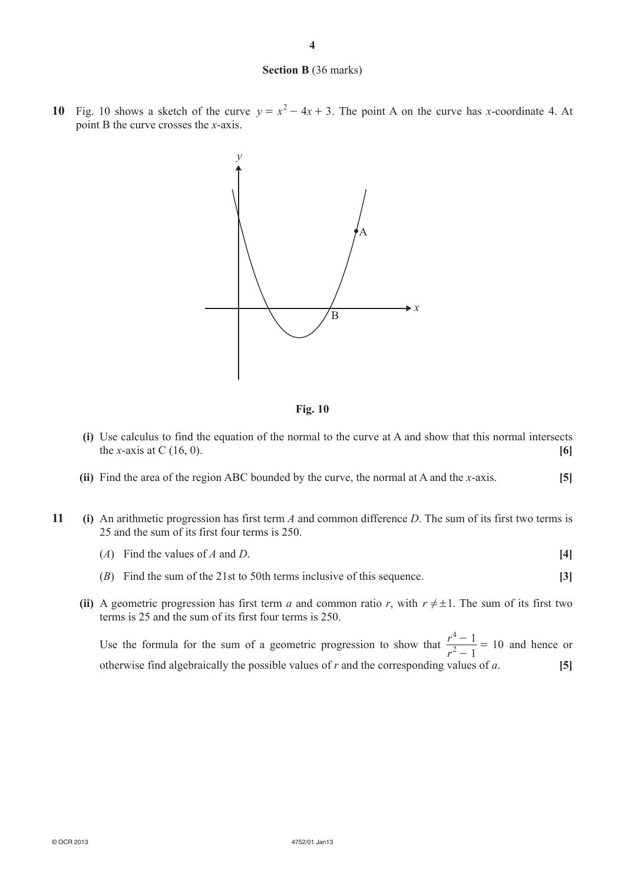#### **Section B** (36 marks)

**10** Fig. 10 shows a sketch of the curve  $y = x^2 - 4x + 3$ . The point A on the curve has *x*-coordinate 4. At point B the curve crosses the *x*-axis.





- **(i)** Use calculus to find the equation of the normal to the curve at A and show that this normal intersects the *x*-axis at C (16, 0). **[6]**
- **(ii)** Find the area of the region ABC bounded by the curve, the normal at A and the *x*-axis. **[5]**
- **11 (i)** An arithmetic progression has first term *A* and common difference *D*. The sum of its first two terms is 25 and the sum of its first four terms is 250.
	- $(A)$  Find the values of *A* and *D*.  $[4]$
	- (*B*) Find the sum of the 21st to 50th terms inclusive of this sequence. **[3]**
	- (ii) A geometric progression has first term *a* and common ratio *r*, with  $r \neq \pm 1$ . The sum of its first two terms is 25 and the sum of its first four terms is 250.

Use the formula for the sum of a geometric progression to show that *r r*  $\frac{1}{2^2-1} = 10$ -  $\frac{-1}{4}$  = 10 and hence or otherwise find algebraically the possible values of *r* and the corresponding values of *a*. **[5]**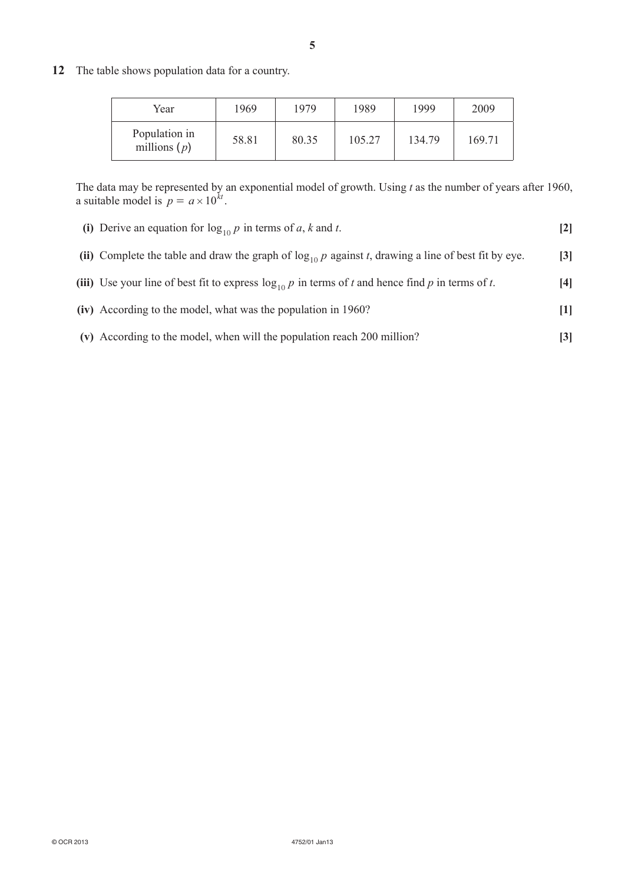**12** The table shows population data for a country.

| Year                            | 1969  | 1979  | 1989   | 1999   | 2009   |
|---------------------------------|-------|-------|--------|--------|--------|
| Population in<br>millions $(p)$ | 58.81 | 80.35 | 105.27 | 134.79 | 169.71 |

The data may be represented by an exponential model of growth. Using *t* as the number of years after 1960, a suitable model is  $p = a \times 10^{kt}$ .

| (i) Derive an equation for $\log_{10} p$ in terms of a, k and t.                                          |                                                                                                                                                                                                          |
|-----------------------------------------------------------------------------------------------------------|----------------------------------------------------------------------------------------------------------------------------------------------------------------------------------------------------------|
| (ii) Complete the table and draw the graph of $\log_{10} p$ against t, drawing a line of best fit by eye. | [3]                                                                                                                                                                                                      |
| (iii) Use your line of best fit to express $\log_{10} p$ in terms of t and hence find p in terms of t.    | [4]                                                                                                                                                                                                      |
| (iv) According to the model, what was the population in 1960?                                             | $[1] % \includegraphics[width=0.9\columnwidth]{figures/fig_10.pdf} \caption{The figure shows the number of times on the left and right. The left is the number of times on the right.} \label{fig:time}$ |
| (v) According to the model, when will the population reach 200 million?                                   |                                                                                                                                                                                                          |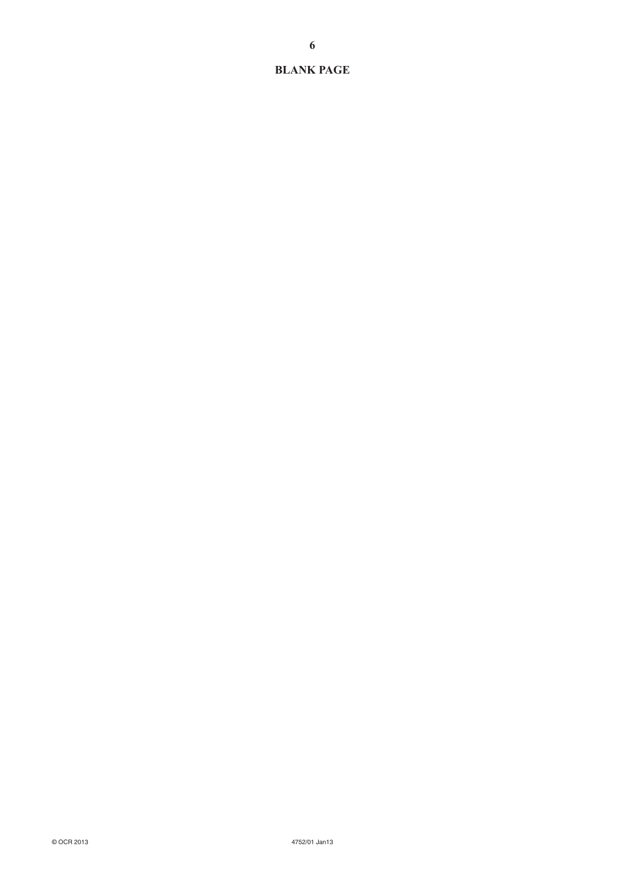#### **BLANK PAGE**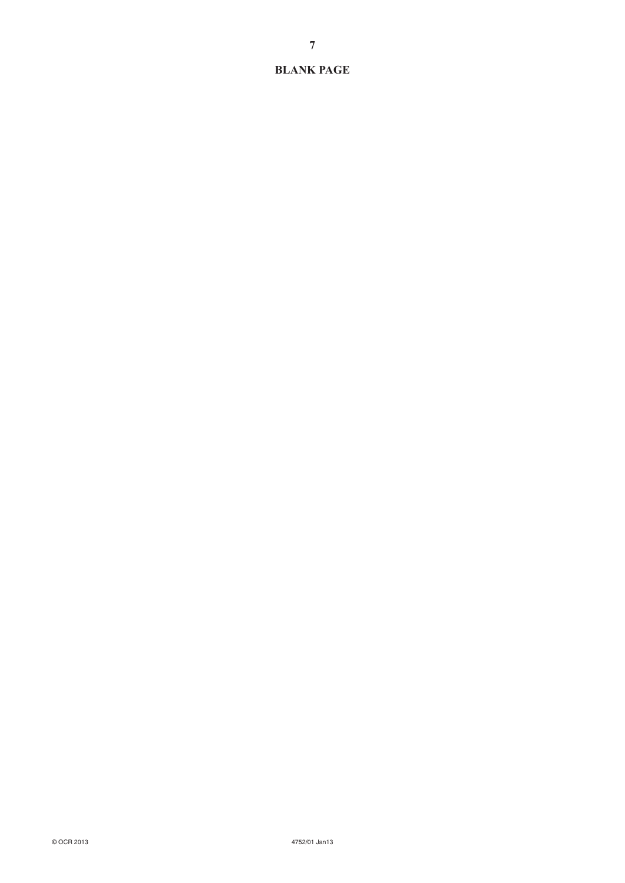#### **BLANK PAGE**